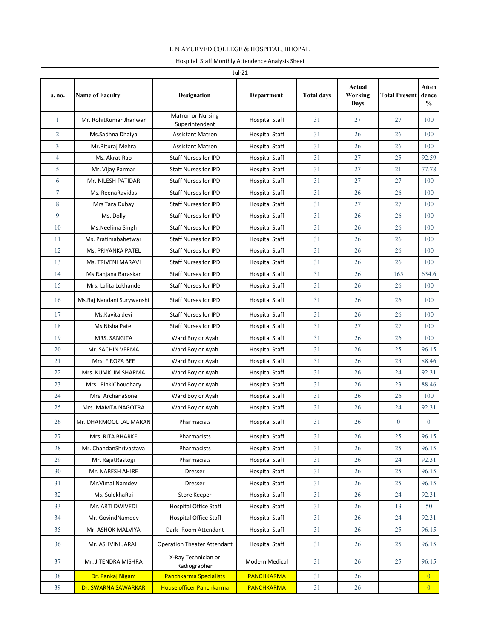## L N AYURVED COLLEGE & HOSPITAL, BHOPAL

| Jul-21         |                           |                                            |                       |                   |                           |                      |                                        |  |
|----------------|---------------------------|--------------------------------------------|-----------------------|-------------------|---------------------------|----------------------|----------------------------------------|--|
| s. no.         | <b>Name of Faculty</b>    | <b>Designation</b>                         | <b>Department</b>     | <b>Total days</b> | Actual<br>Working<br>Days | <b>Total Present</b> | <b>Atten</b><br>dence<br>$\frac{0}{0}$ |  |
| 1              | Mr. RohitKumar Jhanwar    | <b>Matron or Nursing</b><br>Superintendent | <b>Hospital Staff</b> | 31                | 27                        | 27                   | 100                                    |  |
| $\overline{2}$ | Ms.Sadhna Dhaiya          | <b>Assistant Matron</b>                    | <b>Hospital Staff</b> | 31                | 26                        | 26                   | 100                                    |  |
| 3              | Mr.Rituraj Mehra          | <b>Assistant Matron</b>                    | <b>Hospital Staff</b> | 31                | 26                        | 26                   | 100                                    |  |
| $\overline{4}$ | Ms. AkratiRao             | <b>Staff Nurses for IPD</b>                | <b>Hospital Staff</b> | 31                | 27                        | 25                   | 92.59                                  |  |
| 5              | Mr. Vijay Parmar          | <b>Staff Nurses for IPD</b>                | <b>Hospital Staff</b> | 31                | 27                        | 21                   | 77.78                                  |  |
| 6              | Mr. NILESH PATIDAR        | <b>Staff Nurses for IPD</b>                | <b>Hospital Staff</b> | 31                | 27                        | 27                   | 100                                    |  |
| $\tau$         | Ms. ReenaRavidas          | <b>Staff Nurses for IPD</b>                | <b>Hospital Staff</b> | 31                | 26                        | 26                   | 100                                    |  |
| 8              | Mrs Tara Dubay            | <b>Staff Nurses for IPD</b>                | <b>Hospital Staff</b> | 31                | 27                        | 27                   | 100                                    |  |
| 9              | Ms. Dolly                 | <b>Staff Nurses for IPD</b>                | <b>Hospital Staff</b> | 31                | 26                        | 26                   | 100                                    |  |
| 10             | Ms.Neelima Singh          | <b>Staff Nurses for IPD</b>                | <b>Hospital Staff</b> | 31                | 26                        | 26                   | 100                                    |  |
| 11             | Ms. Pratimabahetwar       | <b>Staff Nurses for IPD</b>                | <b>Hospital Staff</b> | 31                | 26                        | 26                   | 100                                    |  |
| 12             | Ms. PRIYANKA PATEL        | <b>Staff Nurses for IPD</b>                | <b>Hospital Staff</b> | 31                | 26                        | 26                   | 100                                    |  |
| 13             | Ms. TRIVENI MARAVI        | <b>Staff Nurses for IPD</b>                | <b>Hospital Staff</b> | 31                | 26                        | 26                   | 100                                    |  |
| 14             | Ms.Ranjana Baraskar       | <b>Staff Nurses for IPD</b>                | <b>Hospital Staff</b> | 31                | 26                        | 165                  | 634.6                                  |  |
| 15             | Mrs. Lalita Lokhande      | <b>Staff Nurses for IPD</b>                | <b>Hospital Staff</b> | 31                | 26                        | 26                   | 100                                    |  |
| 16             | Ms.Raj Nandani Surywanshi | Staff Nurses for IPD                       | <b>Hospital Staff</b> | 31                | 26                        | 26                   | 100                                    |  |
| 17             | Ms.Kavita devi            | <b>Staff Nurses for IPD</b>                | <b>Hospital Staff</b> | 31                | 26                        | 26                   | 100                                    |  |
| 18             | Ms.Nisha Patel            | <b>Staff Nurses for IPD</b>                | <b>Hospital Staff</b> | 31                | 27                        | 27                   | 100                                    |  |
| 19             | MRS. SANGITA              | Ward Boy or Ayah                           | <b>Hospital Staff</b> | 31                | 26                        | 26                   | 100                                    |  |
| 20             | Mr. SACHIN VERMA          | Ward Boy or Ayah                           | <b>Hospital Staff</b> | 31                | 26                        | 25                   | 96.15                                  |  |
| 21             | Mrs. FIROZA BEE           | Ward Boy or Ayah                           | <b>Hospital Staff</b> | 31                | 26                        | 23                   | 88.46                                  |  |
| 22             | Mrs. KUMKUM SHARMA        | Ward Boy or Ayah                           | <b>Hospital Staff</b> | 31                | 26                        | 24                   | 92.31                                  |  |
| 23             | Mrs. PinkiChoudhary       | Ward Boy or Ayah                           | <b>Hospital Staff</b> | 31                | 26                        | 23                   | 88.46                                  |  |
| 24             | Mrs. ArchanaSone          | Ward Boy or Ayah                           | <b>Hospital Staff</b> | 31                | 26                        | 26                   | 100                                    |  |
| 25             | Mrs. MAMTA NAGOTRA        | Ward Boy or Ayah                           | <b>Hospital Staff</b> | 31                | 26                        | 24                   | 92.31                                  |  |
| 26             | Mr. DHARMOOL LAL MARAN    | Pharmacists                                | <b>Hospital Staff</b> | 31                | 26                        | $\mathbf{0}$         | $\overline{0}$                         |  |
| 27             | Mrs. RITA BHARKE          | Pharmacists                                | <b>Hospital Staff</b> | 31                | 26                        | 25                   | 96.15                                  |  |
| 28             | Mr. ChandanShrivastava    | Pharmacists                                | <b>Hospital Staff</b> | 31                | 26                        | 25                   | 96.15                                  |  |
| 29             | Mr. RajatRastogi          | Pharmacists                                | <b>Hospital Staff</b> | 31                | 26                        | 24                   | 92.31                                  |  |
| 30             | Mr. NARESH AHIRE          | Dresser                                    | <b>Hospital Staff</b> | 31                | 26                        | 25                   | 96.15                                  |  |
| 31             | Mr.Vimal Namdev           | Dresser                                    | <b>Hospital Staff</b> | 31                | 26                        | 25                   | 96.15                                  |  |
| 32             | Ms. SulekhaRai            | Store Keeper                               | <b>Hospital Staff</b> | 31                | 26                        | 24                   | 92.31                                  |  |
| 33             | Mr. ARTI DWIVEDI          | <b>Hospital Office Staff</b>               | <b>Hospital Staff</b> | 31                | 26                        | 13                   | 50                                     |  |
| 34             | Mr. GovindNamdev          | <b>Hospital Office Staff</b>               | <b>Hospital Staff</b> | 31                | 26                        | 24                   | 92.31                                  |  |
| 35             | Mr. ASHOK MALVIYA         | Dark-Room Attendant                        | Hospital Staff        | 31                | 26                        | 25                   | 96.15                                  |  |
| 36             | Mr. ASHVINI JARAH         | <b>Operation Theater Attendant</b>         | <b>Hospital Staff</b> | 31                | 26                        | 25                   | 96.15                                  |  |
| 37             | Mr. JITENDRA MISHRA       | X-Ray Technician or<br>Radiographer        | Modern Medical        | 31                | 26                        | 25                   | 96.15                                  |  |
| 38             | Dr. Pankaj Nigam          | <b>Panchkarma Specialists</b>              | <b>PANCHKARMA</b>     | 31                | 26                        |                      | $\overline{0}$                         |  |
| 39             | Dr. SWARNA SAWARKAR       | <b>House officer Panchkarma</b>            | <b>PANCHKARMA</b>     | 31                | 26                        |                      | $\overline{0}$                         |  |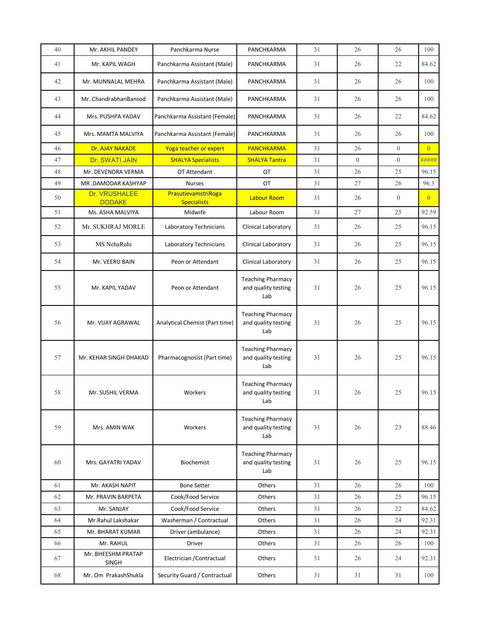| 40 | Mr. AKHIL PANDEY                      | Panchkarma Nurse                          | PANCHKARMA                                             | 31 | 26           | 26           | 100            |
|----|---------------------------------------|-------------------------------------------|--------------------------------------------------------|----|--------------|--------------|----------------|
| 41 | Mr. KAPIL WAGH                        | Panchkarma Assistant (Male)               | PANCHKARMA                                             | 31 | 26           | 22           | 84.62          |
| 42 | Mr. MUNNALAL MEHRA                    | Panchkarma Assistant (Male)               | PANCHKARMA                                             | 31 | 26           | 26           | 100            |
| 43 | Mr. ChandrabhanBansod                 | Panchkarma Assistant (Male)               | PANCHKARMA                                             | 31 | 26           | 26           | 100            |
| 44 | Mrs. PUSHPA YADAV                     | Panchkarma Assistant (Female)             | PANCHKARMA                                             | 31 | 26           | 22           | 84.62          |
| 45 | Mrs. MAMTA MALVIYA                    | Panchkarma Assistant (Female)             | PANCHKARMA                                             | 31 | 26           | 26           | 100            |
| 46 | Dr. AJAY NAKADE                       | Yoga teacher or expert                    | <b>PANCHKARMA</b>                                      | 31 | 26           | $\theta$     | $\overline{0}$ |
| 47 | Dr. SWATI JAIN                        | <b>SHALYA Specialists</b>                 | <b>SHALYA Tantra</b>                                   | 31 | $\mathbf{0}$ | $\mathbf{0}$ | #####          |
| 48 | Mr. DEVENDRA VERMA                    | OT Attendant                              | OT                                                     | 31 | 26           | 25           | 96.15          |
| 49 | MR .DAMODAR KASHYAP                   | <b>Nurses</b>                             | OT                                                     | 31 | 27           | 26           | 96.3           |
| 50 | <b>Dr. VRUSHALEE</b><br><b>DODAKE</b> | PrasutievamstriRoga<br><b>Specialists</b> | <b>Labour Room</b>                                     | 31 | 26           | $\mathbf{0}$ | $\overline{0}$ |
| 51 | Ms. ASHA MALVIYA                      | Midwife                                   | Labour Room                                            | 31 | 27           | 25           | 92.59          |
| 52 | Mr. SUKHRAJ MORLE                     | Laboratory Technicians                    | Clinical Laboratory                                    | 31 | 26           | 25           | 96.15          |
| 53 | MS NehaRahi                           | Laboratory Technicians                    | Clinical Laboratory                                    | 31 | 26           | 25           | 96.15          |
| 54 | Mr. VEERU BAIN                        | Peon or Attendant                         | Clinical Laboratory                                    | 31 | 26           | 25           | 96.15          |
| 55 | Mr. KAPIL YADAV                       | Peon or Attendant                         | <b>Teaching Pharmacy</b><br>and quality testing<br>Lab | 31 | 26           | 25           | 96.15          |
| 56 | Mr. VIJAY AGRAWAL                     | Analytical Chemist (Part time)            | <b>Teaching Pharmacy</b><br>and quality testing<br>Lab | 31 | 26           | 25           | 96.15          |
| 57 | Mr. KEHAR SINGH DHAKAD                | Pharmacognosist (Part time)               | <b>Teaching Pharmacy</b><br>and quality testing<br>Lab | 31 | 26           | 25           | 96.15          |
| 58 | Mr. SUSHIL VERMA                      | Workers                                   | <b>Teaching Pharmacy</b><br>and quality testing<br>Lab | 31 | 26           | 25           | 96.15          |
| 59 | Mrs. AMIN WAK                         | Workers                                   | <b>Teaching Pharmacy</b><br>and quality testing<br>Lab | 31 | 26           | 23           | 88.46          |
| 60 | Mrs. GAYATRI YADAV                    | Biochemist                                | <b>Teaching Pharmacy</b><br>and quality testing<br>Lab | 31 | 26           | 25           | 96.15          |
| 61 | Mr. AKASH NAPIT                       | <b>Bone Setter</b>                        | Others                                                 | 31 | 26           | 26           | 100            |
| 62 | Mr. PRAVIN BARPETA                    | Cook/Food Service                         | Others                                                 | 31 | 26           | 25           | 96.15          |
| 63 | Mr. SANJAY                            | Cook/Food Service                         | Others                                                 | 31 | 26           | 22           | 84.62          |
| 64 | Mr.Rahul Lakshakar                    | Washerman / Contractual                   | Others                                                 | 31 | 26           | 24           | 92.31          |
| 65 | Mr. BHARAT KUMAR                      | Driver (ambulance)                        | Others                                                 | 31 | 26           | 24           | 92.31          |
| 66 | Mr. RAHUL                             | Driver                                    | Others                                                 | 31 | 26           | 26           | 100            |
| 67 | Mr. BHEESHM PRATAP<br><b>SINGH</b>    | Electrician / Contractual                 | Others                                                 | 31 | 26           | 24           | 92.31          |
| 68 | Mr. Om PrakashShukla                  | Security Guard / Contractual              | Others                                                 | 31 | 31           | 31           | 100            |